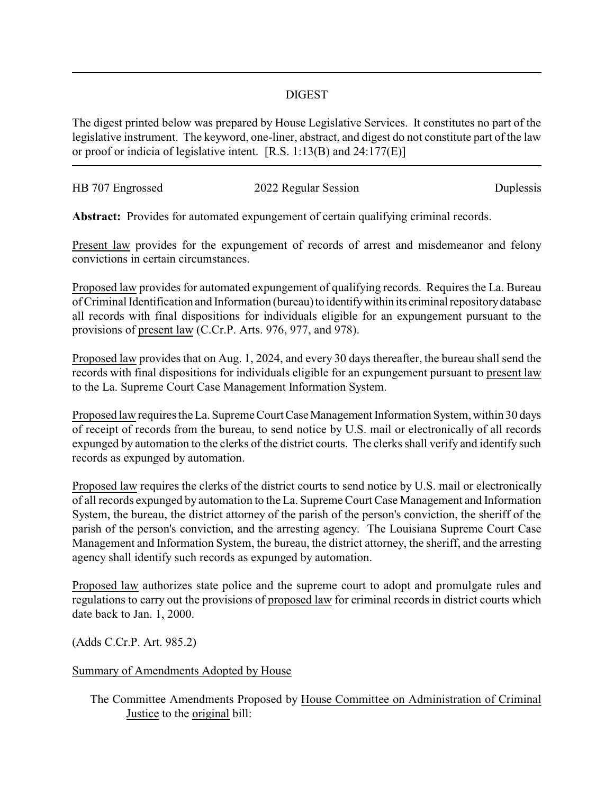## DIGEST

The digest printed below was prepared by House Legislative Services. It constitutes no part of the legislative instrument. The keyword, one-liner, abstract, and digest do not constitute part of the law or proof or indicia of legislative intent. [R.S. 1:13(B) and 24:177(E)]

| HB 707 Engrossed | 2022 Regular Session | Duplessis |
|------------------|----------------------|-----------|
|                  |                      |           |

**Abstract:** Provides for automated expungement of certain qualifying criminal records.

Present law provides for the expungement of records of arrest and misdemeanor and felony convictions in certain circumstances.

Proposed law provides for automated expungement of qualifying records. Requires the La. Bureau of Criminal Identification and Information (bureau) to identify within its criminal repository database all records with final dispositions for individuals eligible for an expungement pursuant to the provisions of present law (C.Cr.P. Arts. 976, 977, and 978).

Proposed law provides that on Aug. 1, 2024, and every 30 days thereafter, the bureau shall send the records with final dispositions for individuals eligible for an expungement pursuant to present law to the La. Supreme Court Case Management Information System.

Proposed law requires the La. Supreme Court Case Management Information System, within 30 days of receipt of records from the bureau, to send notice by U.S. mail or electronically of all records expunged by automation to the clerks of the district courts. The clerks shall verify and identify such records as expunged by automation.

Proposed law requires the clerks of the district courts to send notice by U.S. mail or electronically of all records expunged by automation to the La. Supreme Court Case Management and Information System, the bureau, the district attorney of the parish of the person's conviction, the sheriff of the parish of the person's conviction, and the arresting agency. The Louisiana Supreme Court Case Management and Information System, the bureau, the district attorney, the sheriff, and the arresting agency shall identify such records as expunged by automation.

Proposed law authorizes state police and the supreme court to adopt and promulgate rules and regulations to carry out the provisions of proposed law for criminal records in district courts which date back to Jan. 1, 2000.

(Adds C.Cr.P. Art. 985.2)

## Summary of Amendments Adopted by House

The Committee Amendments Proposed by House Committee on Administration of Criminal Justice to the original bill: